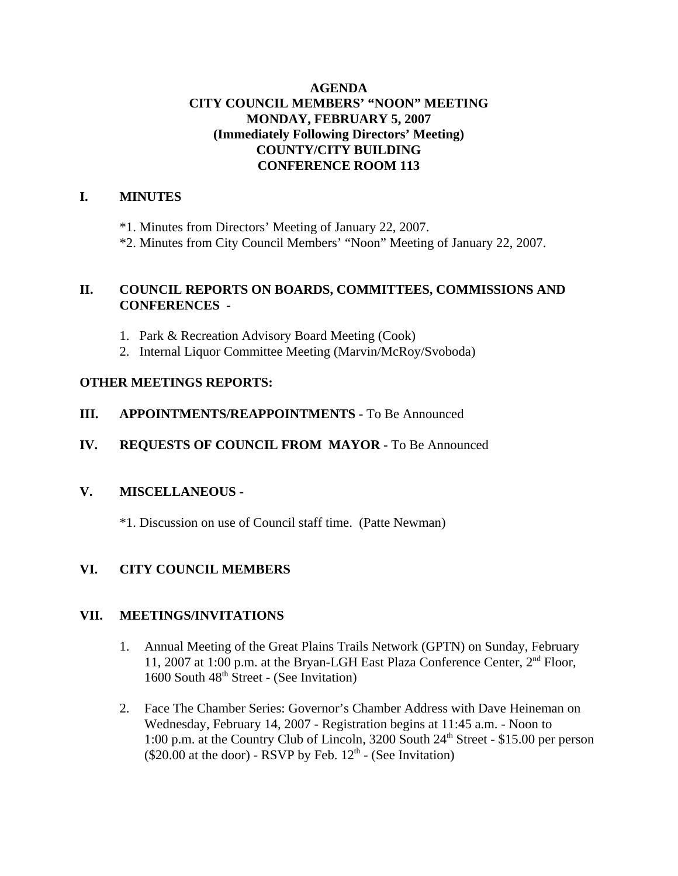# **AGENDA CITY COUNCIL MEMBERS' "NOON" MEETING MONDAY, FEBRUARY 5, 2007 (Immediately Following Directors' Meeting) COUNTY/CITY BUILDING CONFERENCE ROOM 113**

# **I. MINUTES**

\*1. Minutes from Directors' Meeting of January 22, 2007.

\*2. Minutes from City Council Members' "Noon" Meeting of January 22, 2007.

## **II. COUNCIL REPORTS ON BOARDS, COMMITTEES, COMMISSIONS AND CONFERENCES -**

- 1. Park & Recreation Advisory Board Meeting (Cook)
- 2. Internal Liquor Committee Meeting (Marvin/McRoy/Svoboda)

# **OTHER MEETINGS REPORTS:**

- **III.** APPOINTMENTS/REAPPOINTMENTS To Be Announced
- **IV. REQUESTS OF COUNCIL FROM MAYOR -** To Be Announced

# **V. MISCELLANEOUS -**

\*1. Discussion on use of Council staff time. (Patte Newman)

# **VI. CITY COUNCIL MEMBERS**

# **VII. MEETINGS/INVITATIONS**

- 1. Annual Meeting of the Great Plains Trails Network (GPTN) on Sunday, February 11, 2007 at 1:00 p.m. at the Bryan-LGH East Plaza Conference Center, 2<sup>nd</sup> Floor, 1600 South  $48<sup>th</sup>$  Street - (See Invitation)
- 2. Face The Chamber Series: Governor's Chamber Address with Dave Heineman on Wednesday, February 14, 2007 - Registration begins at 11:45 a.m. - Noon to 1:00 p.m. at the Country Club of Lincoln,  $3200$  South  $24<sup>th</sup>$  Street - \$15.00 per person  $(\$20.00$  at the door) - RSVP by Feb.  $12<sup>th</sup>$  - (See Invitation)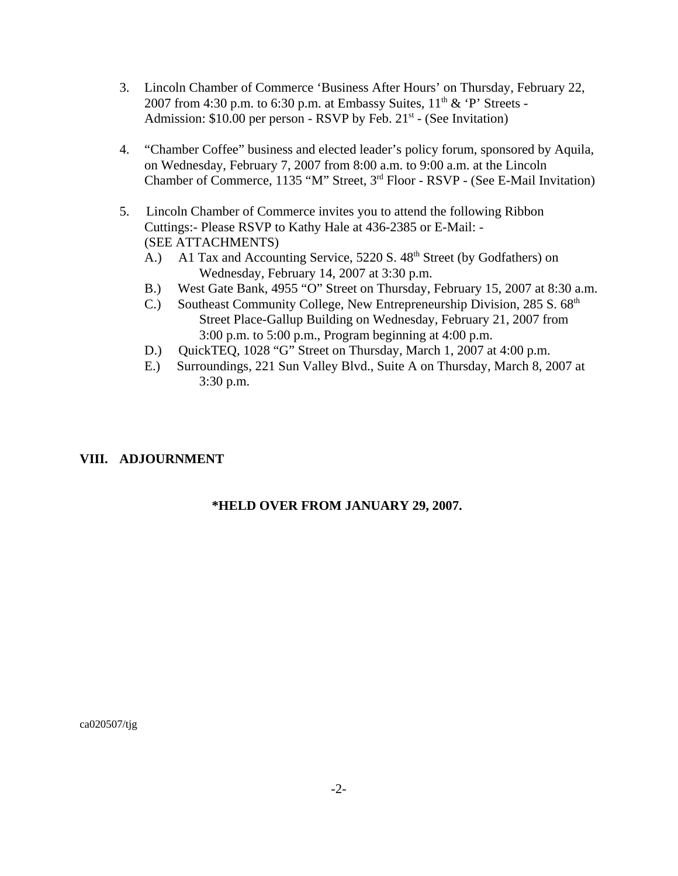- 3. Lincoln Chamber of Commerce 'Business After Hours' on Thursday, February 22, 2007 from 4:30 p.m. to 6:30 p.m. at Embassy Suites,  $11<sup>th</sup>$  & 'P' Streets -Admission:  $$10.00$  per person - RSVP by Feb.  $21<sup>st</sup>$  - (See Invitation)
- 4. "Chamber Coffee" business and elected leader's policy forum, sponsored by Aquila, on Wednesday, February 7, 2007 from 8:00 a.m. to 9:00 a.m. at the Lincoln Chamber of Commerce, 1135 "M" Street, 3rd Floor - RSVP - (See E-Mail Invitation)
- 5. Lincoln Chamber of Commerce invites you to attend the following Ribbon Cuttings:- Please RSVP to Kathy Hale at 436-2385 or E-Mail: - (SEE ATTACHMENTS)
	- A.) A1 Tax and Accounting Service, 5220 S. 48<sup>th</sup> Street (by Godfathers) on Wednesday, February 14, 2007 at 3:30 p.m.
	- B.) West Gate Bank, 4955 "O" Street on Thursday, February 15, 2007 at 8:30 a.m.
	- C.) Southeast Community College, New Entrepreneurship Division, 285 S. 68<sup>th</sup> Street Place-Gallup Building on Wednesday, February 21, 2007 from 3:00 p.m. to 5:00 p.m., Program beginning at 4:00 p.m.
	- D.) QuickTEQ, 1028 "G" Street on Thursday, March 1, 2007 at 4:00 p.m.
	- E.) Surroundings, 221 Sun Valley Blvd., Suite A on Thursday, March 8, 2007 at 3:30 p.m.

# **VIII. ADJOURNMENT**

## **\*HELD OVER FROM JANUARY 29, 2007.**

ca020507/tjg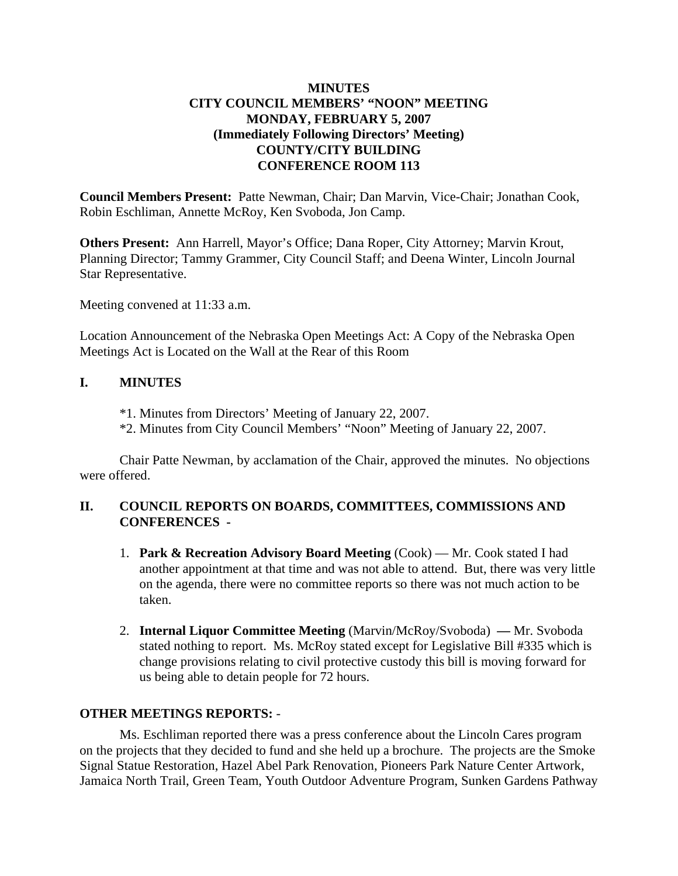# **MINUTES CITY COUNCIL MEMBERS' "NOON" MEETING MONDAY, FEBRUARY 5, 2007 (Immediately Following Directors' Meeting) COUNTY/CITY BUILDING CONFERENCE ROOM 113**

**Council Members Present:** Patte Newman, Chair; Dan Marvin, Vice-Chair; Jonathan Cook, Robin Eschliman, Annette McRoy, Ken Svoboda, Jon Camp.

**Others Present:** Ann Harrell, Mayor's Office; Dana Roper, City Attorney; Marvin Krout, Planning Director; Tammy Grammer, City Council Staff; and Deena Winter, Lincoln Journal Star Representative.

Meeting convened at 11:33 a.m.

Location Announcement of the Nebraska Open Meetings Act: A Copy of the Nebraska Open Meetings Act is Located on the Wall at the Rear of this Room

## **I. MINUTES**

- \*1. Minutes from Directors' Meeting of January 22, 2007.
- \*2. Minutes from City Council Members' "Noon" Meeting of January 22, 2007.

Chair Patte Newman, by acclamation of the Chair, approved the minutes. No objections were offered.

# **II. COUNCIL REPORTS ON BOARDS, COMMITTEES, COMMISSIONS AND CONFERENCES -**

- 1. **Park & Recreation Advisory Board Meeting** (Cook) Mr. Cook stated I had another appointment at that time and was not able to attend. But, there was very little on the agenda, there were no committee reports so there was not much action to be taken.
- 2. **Internal Liquor Committee Meeting** (Marvin/McRoy/Svoboda) Mr. Svoboda stated nothing to report. Ms. McRoy stated except for Legislative Bill #335 which is change provisions relating to civil protective custody this bill is moving forward for us being able to detain people for 72 hours.

## **OTHER MEETINGS REPORTS:** -

Ms. Eschliman reported there was a press conference about the Lincoln Cares program on the projects that they decided to fund and she held up a brochure. The projects are the Smoke Signal Statue Restoration, Hazel Abel Park Renovation, Pioneers Park Nature Center Artwork, Jamaica North Trail, Green Team, Youth Outdoor Adventure Program, Sunken Gardens Pathway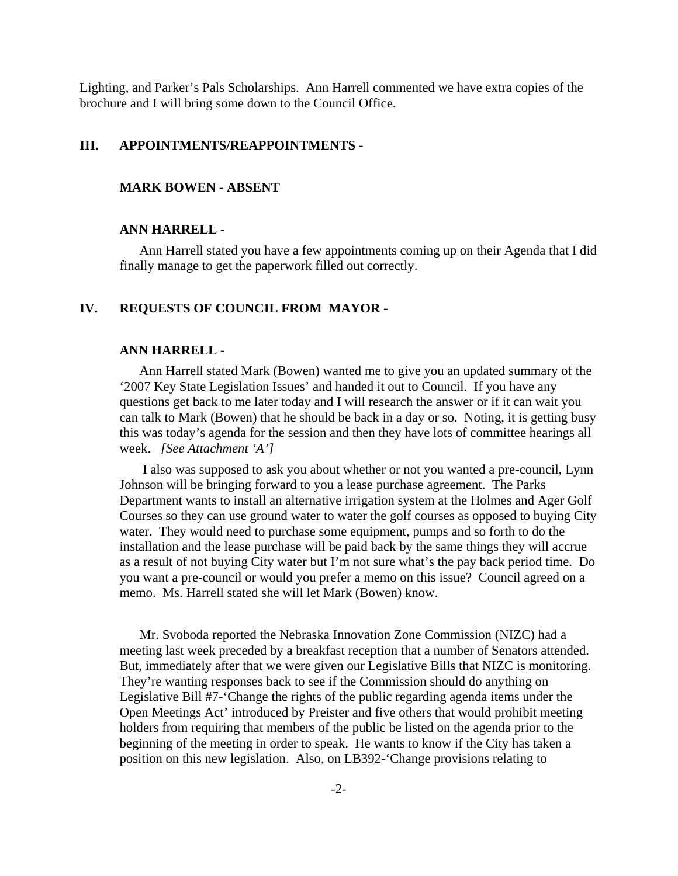Lighting, and Parker's Pals Scholarships. Ann Harrell commented we have extra copies of the brochure and I will bring some down to the Council Office.

## **III. APPOINTMENTS/REAPPOINTMENTS -**

#### **MARK BOWEN - ABSENT**

#### **ANN HARRELL -**

Ann Harrell stated you have a few appointments coming up on their Agenda that I did finally manage to get the paperwork filled out correctly.

#### **IV. REQUESTS OF COUNCIL FROM MAYOR -**

#### **ANN HARRELL -**

Ann Harrell stated Mark (Bowen) wanted me to give you an updated summary of the '2007 Key State Legislation Issues' and handed it out to Council. If you have any questions get back to me later today and I will research the answer or if it can wait you can talk to Mark (Bowen) that he should be back in a day or so. Noting, it is getting busy this was today's agenda for the session and then they have lots of committee hearings all week. *[See Attachment 'A']* 

 I also was supposed to ask you about whether or not you wanted a pre-council, Lynn Johnson will be bringing forward to you a lease purchase agreement. The Parks Department wants to install an alternative irrigation system at the Holmes and Ager Golf Courses so they can use ground water to water the golf courses as opposed to buying City water. They would need to purchase some equipment, pumps and so forth to do the installation and the lease purchase will be paid back by the same things they will accrue as a result of not buying City water but I'm not sure what's the pay back period time. Do you want a pre-council or would you prefer a memo on this issue? Council agreed on a memo. Ms. Harrell stated she will let Mark (Bowen) know.

Mr. Svoboda reported the Nebraska Innovation Zone Commission (NIZC) had a meeting last week preceded by a breakfast reception that a number of Senators attended. But, immediately after that we were given our Legislative Bills that NIZC is monitoring. They're wanting responses back to see if the Commission should do anything on Legislative Bill #7-'Change the rights of the public regarding agenda items under the Open Meetings Act' introduced by Preister and five others that would prohibit meeting holders from requiring that members of the public be listed on the agenda prior to the beginning of the meeting in order to speak. He wants to know if the City has taken a position on this new legislation. Also, on LB392-'Change provisions relating to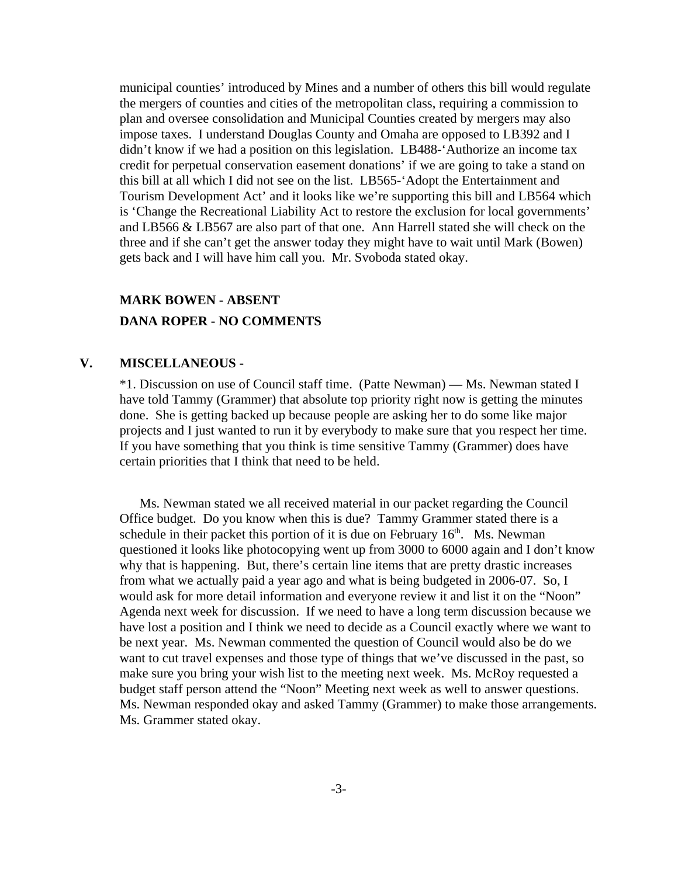municipal counties' introduced by Mines and a number of others this bill would regulate the mergers of counties and cities of the metropolitan class, requiring a commission to plan and oversee consolidation and Municipal Counties created by mergers may also impose taxes. I understand Douglas County and Omaha are opposed to LB392 and I didn't know if we had a position on this legislation. LB488-'Authorize an income tax credit for perpetual conservation easement donations' if we are going to take a stand on this bill at all which I did not see on the list. LB565-'Adopt the Entertainment and Tourism Development Act' and it looks like we're supporting this bill and LB564 which is 'Change the Recreational Liability Act to restore the exclusion for local governments' and LB566 & LB567 are also part of that one. Ann Harrell stated she will check on the three and if she can't get the answer today they might have to wait until Mark (Bowen) gets back and I will have him call you. Mr. Svoboda stated okay.

# **MARK BOWEN - ABSENT DANA ROPER - NO COMMENTS**

## **V. MISCELLANEOUS -**

\*1. Discussion on use of Council staff time. (Patte Newman) **—** Ms. Newman stated I have told Tammy (Grammer) that absolute top priority right now is getting the minutes done. She is getting backed up because people are asking her to do some like major projects and I just wanted to run it by everybody to make sure that you respect her time. If you have something that you think is time sensitive Tammy (Grammer) does have certain priorities that I think that need to be held.

Ms. Newman stated we all received material in our packet regarding the Council Office budget. Do you know when this is due? Tammy Grammer stated there is a schedule in their packet this portion of it is due on February  $16<sup>th</sup>$ . Ms. Newman questioned it looks like photocopying went up from 3000 to 6000 again and I don't know why that is happening. But, there's certain line items that are pretty drastic increases from what we actually paid a year ago and what is being budgeted in 2006-07. So, I would ask for more detail information and everyone review it and list it on the "Noon" Agenda next week for discussion. If we need to have a long term discussion because we have lost a position and I think we need to decide as a Council exactly where we want to be next year. Ms. Newman commented the question of Council would also be do we want to cut travel expenses and those type of things that we've discussed in the past, so make sure you bring your wish list to the meeting next week. Ms. McRoy requested a budget staff person attend the "Noon" Meeting next week as well to answer questions. Ms. Newman responded okay and asked Tammy (Grammer) to make those arrangements. Ms. Grammer stated okay.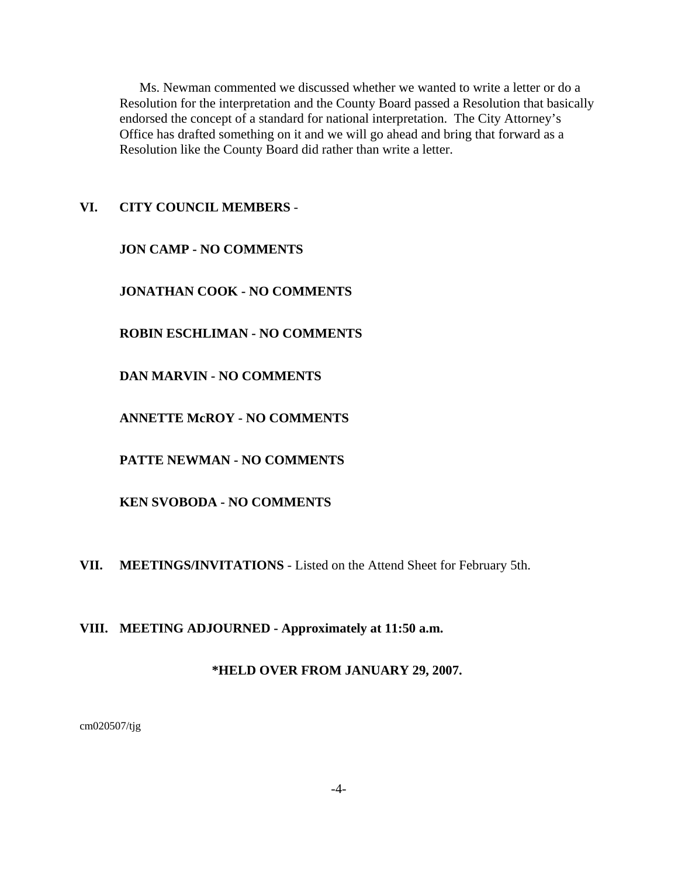Ms. Newman commented we discussed whether we wanted to write a letter or do a Resolution for the interpretation and the County Board passed a Resolution that basically endorsed the concept of a standard for national interpretation. The City Attorney's Office has drafted something on it and we will go ahead and bring that forward as a Resolution like the County Board did rather than write a letter.

## **VI. CITY COUNCIL MEMBERS** -

**JON CAMP - NO COMMENTS**

**JONATHAN COOK - NO COMMENTS**

**ROBIN ESCHLIMAN - NO COMMENTS**

**DAN MARVIN - NO COMMENTS** 

**ANNETTE McROY - NO COMMENTS**

**PATTE NEWMAN - NO COMMENTS**

**KEN SVOBODA - NO COMMENTS**

**VII. MEETINGS/INVITATIONS** - Listed on the Attend Sheet for February 5th.

**VIII. MEETING ADJOURNED - Approximately at 11:50 a.m.** 

## **\*HELD OVER FROM JANUARY 29, 2007.**

cm020507/tjg